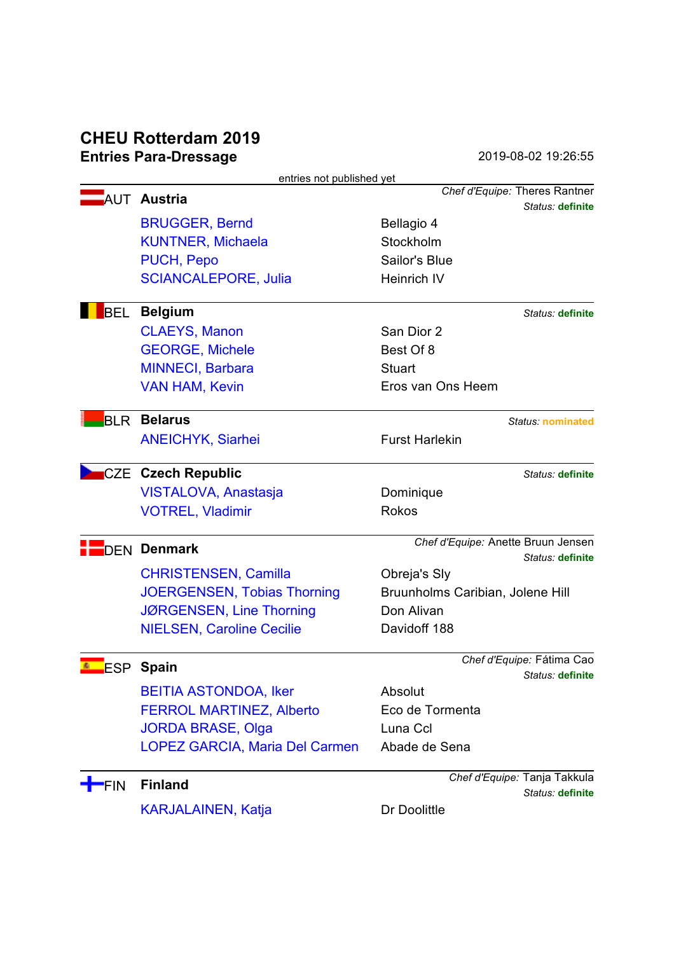# **CHEU Rotterdam 2019 Entries Para-Dressage** 2019-08-02 19:26:55

| entries not published yet |                                    |                                    |  |  |  |  |
|---------------------------|------------------------------------|------------------------------------|--|--|--|--|
|                           | <b>AUT Austria</b>                 | Chef d'Equipe: Theres Rantner      |  |  |  |  |
|                           |                                    | Status: definite                   |  |  |  |  |
|                           | <b>BRUGGER, Bernd</b>              | Bellagio 4                         |  |  |  |  |
|                           | <b>KUNTNER, Michaela</b>           | Stockholm                          |  |  |  |  |
|                           | PUCH, Pepo                         | Sailor's Blue                      |  |  |  |  |
|                           | <b>SCIANCALEPORE, Julia</b>        | Heinrich IV                        |  |  |  |  |
| <b>BEL</b>                | <b>Belgium</b>                     | Status: definite                   |  |  |  |  |
|                           | <b>CLAEYS, Manon</b>               | San Dior 2                         |  |  |  |  |
|                           | <b>GEORGE, Michele</b>             | Best Of 8                          |  |  |  |  |
|                           | <b>MINNECI, Barbara</b>            | <b>Stuart</b>                      |  |  |  |  |
|                           | <b>VAN HAM, Kevin</b>              | Eros van Ons Heem                  |  |  |  |  |
| <b>BLR</b>                | <b>Belarus</b>                     | Status: nominated                  |  |  |  |  |
|                           | <b>ANEICHYK, Siarhei</b>           | <b>Furst Harlekin</b>              |  |  |  |  |
|                           | <b>CZE</b> Czech Republic          | Status: definite                   |  |  |  |  |
|                           | VISTALOVA, Anastasja               | Dominique                          |  |  |  |  |
|                           | <b>VOTREL, Vladimir</b>            | <b>Rokos</b>                       |  |  |  |  |
| <b>DEN Denmark</b>        |                                    | Chef d'Equipe: Anette Bruun Jensen |  |  |  |  |
|                           |                                    | Status: definite                   |  |  |  |  |
|                           | <b>CHRISTENSEN, Camilla</b>        | Obreja's Sly                       |  |  |  |  |
|                           | <b>JOERGENSEN, Tobias Thorning</b> | Bruunholms Caribian, Jolene Hill   |  |  |  |  |
|                           | JØRGENSEN, Line Thorning           | Don Alivan                         |  |  |  |  |
|                           | <b>NIELSEN, Caroline Cecilie</b>   | Davidoff 188                       |  |  |  |  |
|                           | ESP Spain                          | Chef d'Equipe: Fátima Cao          |  |  |  |  |
|                           |                                    | Status: definite                   |  |  |  |  |
|                           | <b>BEITIA ASTONDOA, Iker</b>       | Absolut                            |  |  |  |  |
|                           | <b>FERROL MARTINEZ, Alberto</b>    | Eco de Tormenta                    |  |  |  |  |
|                           | <b>JORDA BRASE, Olga</b>           | Luna Ccl                           |  |  |  |  |
|                           | LOPEZ GARCIA, Maria Del Carmen     | Abade de Sena                      |  |  |  |  |
| <b>FIN</b>                | <b>Finland</b>                     | Chef d'Equipe: Tanja Takkula       |  |  |  |  |
|                           |                                    | Status: definite                   |  |  |  |  |
|                           | <b>KARJALAINEN, Katja</b>          | Dr Doolittle                       |  |  |  |  |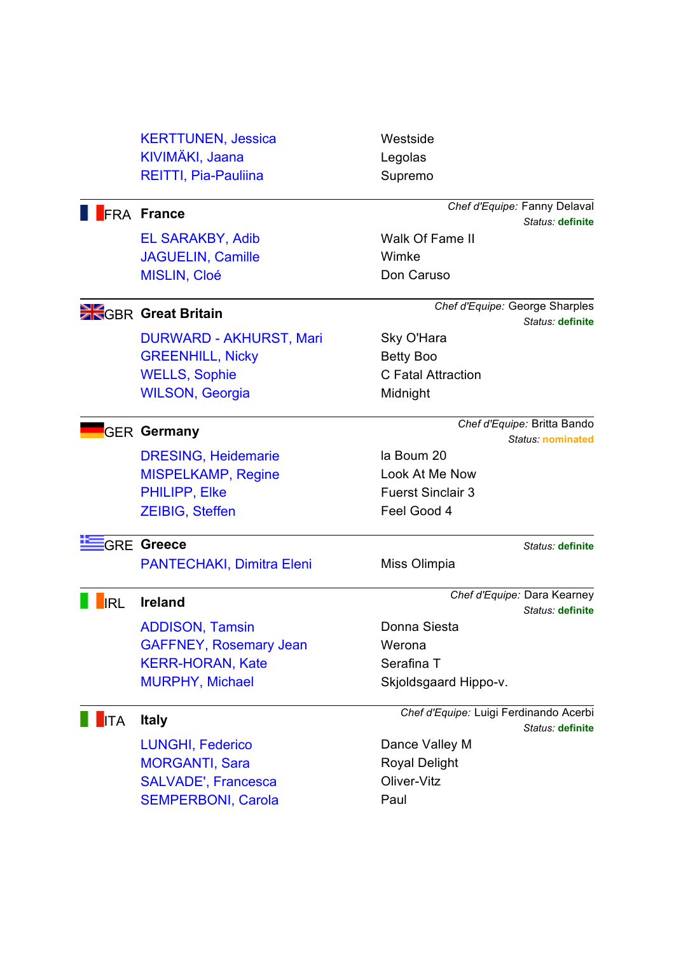|                   | <b>KERTTUNEN, Jessica</b><br>KIVIMÄKI, Jaana<br><b>REITTI, Pia-Pauliina</b> | Westside<br>Legolas<br>Supremo |                                                  |  |
|-------------------|-----------------------------------------------------------------------------|--------------------------------|--------------------------------------------------|--|
| <b>FRA France</b> |                                                                             |                                | Chef d'Equipe: Fanny Delaval<br>Status: definite |  |
|                   | <b>EL SARAKBY, Adib</b>                                                     | Walk Of Fame II                |                                                  |  |

JAGUELIN, Camille Wimke MISLIN, Cloé Don Caruso

DURWARD - AKHURST, Mari Sky O'Hara GREENHILL, Nicky Betty Boo WELLS, Sophie C Fatal Attraction WILSON, Georgia Midnight

DRESING, Heidemarie la Boum 20 MISPELKAMP, Regine Look At Me Now PHILIPP, Elke Fuerst Sinclair 3 ZEIBIG, Steffen Feel Good 4

## GRE **Greece** *Status:* **definite**

PANTECHAKI, Dimitra Eleni Miss Olimpia

ADDISON, Tamsin Donna Siesta GAFFNEY, Rosemary Jean Werona KERR-HORAN, Kate Serafina T MURPHY, Michael Skjoldsgaard Hippo-v.

LUNGHI, Federico Dance Valley M MORGANTI, Sara Royal Delight SALVADE', Francesca Cliver-Vitz SEMPERBONI, Carola **Paul** 

Walk Of Fame II

GBR **Great Britain** *Chef d'Equipe:* George Sharples *Status:* **definite**

GER **Germany** *Chef d'Equipe:* Britta Bando *Status:* **nominated**

IRL **Ireland** *Chef d'Equipe:* Dara Kearney *Status:* **definite**

ITA **Italy** *Chef d'Equipe:* Luigi Ferdinando Acerbi *Status:* **definite**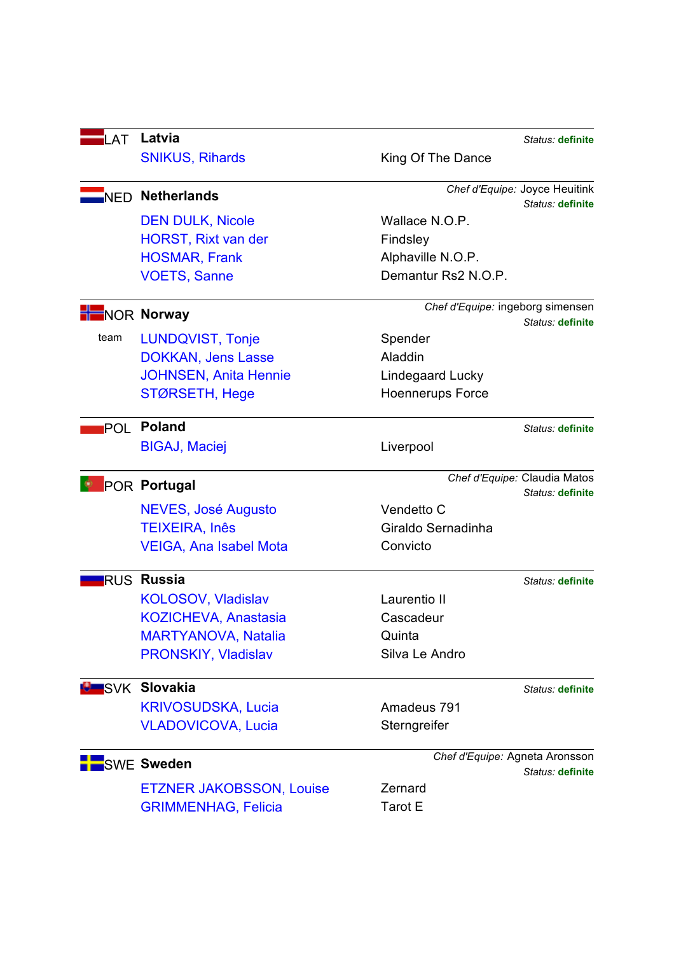| LAT               | Latvia                          |                                  | Status: definite                                  |
|-------------------|---------------------------------|----------------------------------|---------------------------------------------------|
|                   | <b>SNIKUS, Rihards</b>          | King Of The Dance                |                                                   |
|                   | NED Netherlands                 |                                  | Chef d'Equipe: Joyce Heuitink<br>Status: definite |
|                   | <b>DEN DULK, Nicole</b>         | Wallace N.O.P.                   |                                                   |
|                   | <b>HORST, Rixt van der</b>      | Findsley                         |                                                   |
|                   | <b>HOSMAR, Frank</b>            | Alphaville N.O.P.                |                                                   |
|                   | <b>VOETS, Sanne</b>             | Demantur Rs2 N.O.P.              |                                                   |
| <b>NOR Norway</b> |                                 | Chef d'Equipe: ingeborg simensen |                                                   |
|                   |                                 |                                  | Status: definite                                  |
| team              | <b>LUNDQVIST, Tonje</b>         | Spender                          |                                                   |
|                   | <b>DOKKAN, Jens Lasse</b>       | Aladdin                          |                                                   |
|                   | <b>JOHNSEN, Anita Hennie</b>    | Lindegaard Lucky                 |                                                   |
|                   | STØRSETH, Hege                  | <b>Hoennerups Force</b>          |                                                   |
|                   | POL Poland                      |                                  | Status: definite                                  |
|                   | <b>BIGAJ, Maciej</b>            | Liverpool                        |                                                   |
|                   | <b>POR Portugal</b>             |                                  | Chef d'Equipe: Claudia Matos                      |
|                   |                                 |                                  | Status: definite                                  |
|                   | NEVES, José Augusto             | Vendetto C                       |                                                   |
|                   | <b>TEIXEIRA, Inês</b>           | Giraldo Sernadinha               |                                                   |
|                   | <b>VEIGA, Ana Isabel Mota</b>   | Convicto                         |                                                   |
|                   | <b>RUS Russia</b>               |                                  | Status: definite                                  |
|                   | <b>KOLOSOV, Vladislav</b>       | Laurentio II                     |                                                   |
|                   | <b>KOZICHEVA, Anastasia</b>     | Cascadeur                        |                                                   |
|                   | <b>MARTYANOVA, Natalia</b>      | Quinta                           |                                                   |
|                   | PRONSKIY, Vladislav             | Silva Le Andro                   |                                                   |
|                   | <b>ULI</b> SVK Slovakia         |                                  | Status: definite                                  |
|                   | <b>KRIVOSUDSKA, Lucia</b>       | Amadeus 791                      |                                                   |
|                   | <b>VLADOVICOVA, Lucia</b>       | Sterngreifer                     |                                                   |
|                   | <b>SWE Sweden</b>               |                                  | Chef d'Equipe: Agneta Aronsson                    |
|                   |                                 |                                  | Status: definite                                  |
|                   | <b>ETZNER JAKOBSSON, Louise</b> | Zernard                          |                                                   |
|                   | <b>GRIMMENHAG, Felicia</b>      | Tarot E                          |                                                   |